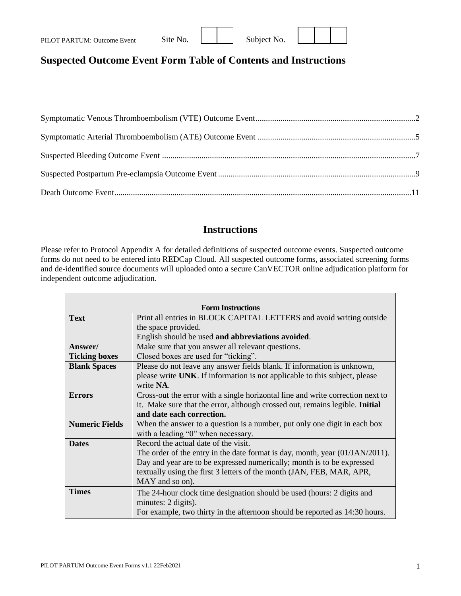| PILOT PARTUM: Outcome Event | Site No. |  | Subject No. |
|-----------------------------|----------|--|-------------|
|-----------------------------|----------|--|-------------|

| Subject No |  |
|------------|--|



## **Suspected Outcome Event Form Table of Contents and Instructions**

### **Instructions**

Please refer to Protocol Appendix A for detailed definitions of suspected outcome events. Suspected outcome forms do not need to be entered into REDCap Cloud. All suspected outcome forms, associated screening forms and de-identified source documents will uploaded onto a secure CanVECTOR online adjudication platform for independent outcome adjudication.

|                       | <b>Form Instructions</b>                                                        |
|-----------------------|---------------------------------------------------------------------------------|
| <b>Text</b>           | Print all entries in BLOCK CAPITAL LETTERS and avoid writing outside            |
|                       | the space provided.                                                             |
|                       | English should be used and abbreviations avoided.                               |
| Answer/               | Make sure that you answer all relevant questions.                               |
| <b>Ticking boxes</b>  | Closed boxes are used for "ticking".                                            |
| <b>Blank Spaces</b>   | Please do not leave any answer fields blank. If information is unknown,         |
|                       | please write UNK. If information is not applicable to this subject, please      |
|                       | write NA.                                                                       |
| <b>Errors</b>         | Cross-out the error with a single horizontal line and write correction next to  |
|                       | it. Make sure that the error, although crossed out, remains legible. Initial    |
|                       | and date each correction.                                                       |
| <b>Numeric Fields</b> | When the answer to a question is a number, put only one digit in each box       |
|                       | with a leading "0" when necessary.                                              |
| <b>Dates</b>          | Record the actual date of the visit.                                            |
|                       | The order of the entry in the date format is day, month, year $(01/JAN/2011)$ . |
|                       | Day and year are to be expressed numerically; month is to be expressed          |
|                       | textually using the first 3 letters of the month (JAN, FEB, MAR, APR,           |
|                       | MAY and so on).                                                                 |
| <b>Times</b>          | The 24-hour clock time designation should be used (hours: 2 digits and          |
|                       | minutes: 2 digits).                                                             |
|                       | For example, two thirty in the afternoon should be reported as 14:30 hours.     |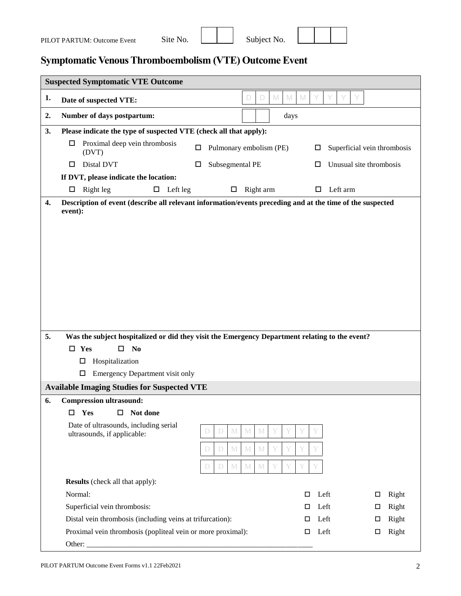| Subject No. |  |
|-------------|--|



## <span id="page-1-0"></span>**Symptomatic Venous Thromboembolism (VTE) Outcome Event**

|    | <b>Suspected Symptomatic VTE Outcome</b>                                                                             |                                       |                                          |
|----|----------------------------------------------------------------------------------------------------------------------|---------------------------------------|------------------------------------------|
| 1. | Date of suspected VTE:                                                                                               | $\mathbb N$<br>$\mathbb{M}$<br>D<br>D | $\mathbb N$                              |
| 2. | Number of days postpartum:                                                                                           | days                                  |                                          |
| 3. | Please indicate the type of suspected VTE (check all that apply):                                                    |                                       |                                          |
|    | Proximal deep vein thrombosis<br>□                                                                                   | Pulmonary embolism (PE)<br>□          | Superficial vein thrombosis<br>$\Box$    |
|    | (DVT)                                                                                                                |                                       |                                          |
|    | Distal DVT<br>□                                                                                                      | Subsegmental PE<br>□                  | Unusual site thrombosis<br>ш             |
|    | If DVT, please indicate the location:                                                                                |                                       |                                          |
|    | $\Box$ Left leg<br>Right leg<br>$\Box$                                                                               | Right arm<br>$\Box$                   | Left arm                                 |
| 4. | Description of event (describe all relevant information/events preceding and at the time of the suspected<br>event): |                                       |                                          |
|    |                                                                                                                      |                                       |                                          |
|    |                                                                                                                      |                                       |                                          |
|    |                                                                                                                      |                                       |                                          |
|    |                                                                                                                      |                                       |                                          |
|    |                                                                                                                      |                                       |                                          |
|    |                                                                                                                      |                                       |                                          |
|    |                                                                                                                      |                                       |                                          |
|    |                                                                                                                      |                                       |                                          |
|    |                                                                                                                      |                                       |                                          |
| 5. | Was the subject hospitalized or did they visit the Emergency Department relating to the event?                       |                                       |                                          |
|    | $\square$ Yes<br>N <sub>0</sub><br>0                                                                                 |                                       |                                          |
|    | Hospitalization<br>$\Box$                                                                                            |                                       |                                          |
|    | Emergency Department visit only<br>$\Box$                                                                            |                                       |                                          |
|    | <b>Available Imaging Studies for Suspected VTE</b>                                                                   |                                       |                                          |
| 6. | <b>Compression ultrasound:</b>                                                                                       |                                       |                                          |
|    | $\Box$<br>$\Box$<br>Yes<br>Not done                                                                                  |                                       |                                          |
|    | Date of ultrasounds, including serial<br>ultrasounds, if applicable:                                                 | $\mathbb M$<br>M<br>$\mathbb M$<br>D  |                                          |
|    |                                                                                                                      | $\mathbb M$<br>$\mathbb M$<br>M<br>D  |                                          |
|    |                                                                                                                      | $\mathbb M$<br>M<br>M<br>D<br>$\Box$  |                                          |
|    |                                                                                                                      |                                       |                                          |
|    | <b>Results</b> (check all that apply):                                                                               |                                       |                                          |
|    | Normal:                                                                                                              |                                       | Right<br>Left<br>□<br>□                  |
|    | Superficial vein thrombosis:<br>Distal vein thrombosis (including veins at trifurcation):                            |                                       | Right<br>Left<br>□<br>□<br>Left<br>Right |
|    | Proximal vein thrombosis (popliteal vein or more proximal):                                                          |                                       | □<br>□<br>Left<br>$\Box$                 |
|    |                                                                                                                      |                                       | Right<br>□                               |
|    |                                                                                                                      |                                       |                                          |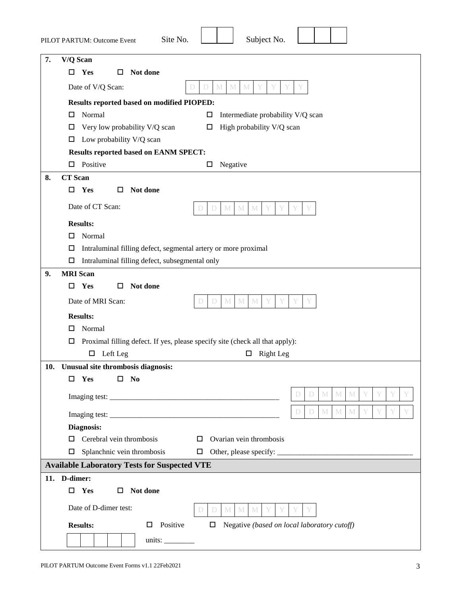|     | Subject No.<br>Site No.<br>PILOT PARTUM: Outcome Event                                    |
|-----|-------------------------------------------------------------------------------------------|
| 7.  | V/Q Scan                                                                                  |
|     | Yes<br>Not done<br>□<br>□                                                                 |
|     | Date of V/Q Scan:<br>$\mathbb M$<br>M<br>D<br>M<br>D                                      |
|     | Results reported based on modified PIOPED:                                                |
|     | Normal<br>Intermediate probability V/Q scan<br>$\Box$<br>□                                |
|     | High probability V/Q scan<br>Very low probability V/Q scan<br>□<br>□                      |
|     | Low probability V/Q scan<br>□                                                             |
|     | <b>Results reported based on EANM SPECT:</b>                                              |
|     | Positive<br>$\Box$<br>Negative<br>□                                                       |
| 8.  | <b>CT</b> Scan                                                                            |
|     | Yes<br>Not done<br>$\Box$<br>□                                                            |
|     | Date of CT Scan:<br>$\mathbb M$<br>$\mathbf M$<br>D<br>$M_{\odot}$<br>D                   |
|     | <b>Results:</b>                                                                           |
|     | □<br>Normal                                                                               |
|     | Intraluminal filling defect, segmental artery or more proximal<br>□                       |
|     | □<br>Intraluminal filling defect, subsegmental only                                       |
| 9.  | <b>MRI</b> Scan                                                                           |
|     | Yes<br>Not done<br>□<br>□                                                                 |
|     | Date of MRI Scan:<br>$\mathbf M$<br>$M_{\odot}$<br>M<br>D                                 |
|     | <b>Results:</b>                                                                           |
|     | Normal<br>□                                                                               |
|     | Proximal filling defect. If yes, please specify site (check all that apply):<br>□         |
|     | Left Leg<br>$\Box$<br><b>Right</b> Leg<br>Д                                               |
| 10. | Unusual site thrombosis diagnosis:                                                        |
|     | Yes<br>$\mathbf{N}\mathbf{0}$<br>◻<br>□                                                   |
|     | M<br>$M_{\odot}$<br>M<br>D<br>D                                                           |
|     | $M_{\odot}$<br>$\mathbb M$<br>Y<br>D<br>D<br>M                                            |
|     | Diagnosis:                                                                                |
|     | Cerebral vein thrombosis<br>Ovarian vein thrombosis<br>□                                  |
|     | Splanchnic vein thrombosis<br>□                                                           |
|     | <b>Available Laboratory Tests for Suspected VTE</b>                                       |
|     | 11. D-dimer:                                                                              |
|     | Yes<br>Not done<br>$\Box$<br>□                                                            |
|     | Date of D-dimer test:<br>$M_{\odot}$<br>M<br>M<br>D<br>$\Box$                             |
|     | Positive<br>Negative (based on local laboratory cutoff)<br><b>Results:</b><br>$\Box$<br>□ |
|     | units: $\_\_$                                                                             |
|     |                                                                                           |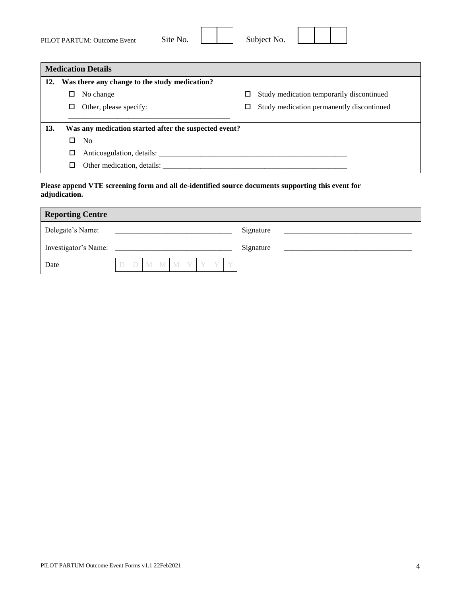| PILOT PARTUM: Outcome Event | Site No. | Subject No. |  |  |
|-----------------------------|----------|-------------|--|--|

|     | <b>Medication Details</b>                             |                                                |
|-----|-------------------------------------------------------|------------------------------------------------|
| 12. | Was there any change to the study medication?         |                                                |
|     | No change<br>ப                                        | Study medication temporarily discontinued<br>□ |
|     | Other, please specify:<br>ш                           | Study medication permanently discontinued<br>□ |
|     |                                                       |                                                |
| 13. | Was any medication started after the suspected event? |                                                |
|     | N <sub>0</sub><br>$\Box$                              |                                                |
|     | □                                                     |                                                |
|     |                                                       |                                                |

#### **Please append VTE screening form and all de-identified source documents supporting this event for adjudication.**

| <b>Reporting Centre</b> |  |                     |  |  |           |  |
|-------------------------|--|---------------------|--|--|-----------|--|
| Delegate's Name:        |  |                     |  |  | Signature |  |
|                         |  |                     |  |  | Signature |  |
| Date                    |  | D D M M M Y Y Y Y Y |  |  |           |  |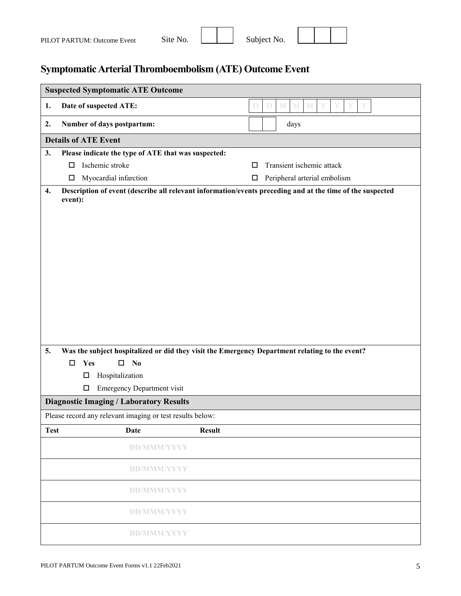| PILOT PARTUM: Outcome Event | Site No. | Subject No. |  |  |
|-----------------------------|----------|-------------|--|--|

# <span id="page-4-0"></span>**Symptomatic Arterial Thromboembolism (ATE) Outcome Event**

|             | <b>Suspected Symptomatic ATE Outcome</b>                       |                                                                                                                                                                                                             |
|-------------|----------------------------------------------------------------|-------------------------------------------------------------------------------------------------------------------------------------------------------------------------------------------------------------|
| 1.          | Date of suspected ATE:                                         | $\mathbf M$<br>$\mathbf M$<br>$\mathbb M$<br>Y<br>Y<br>D<br>D<br>Y                                                                                                                                          |
| 2.          | Number of days postpartum:                                     | days                                                                                                                                                                                                        |
|             | <b>Details of ATE Event</b>                                    |                                                                                                                                                                                                             |
| 3.          | Please indicate the type of ATE that was suspected:            |                                                                                                                                                                                                             |
|             | Ischemic stroke<br>$\Box$                                      | Transient ischemic attack<br>□                                                                                                                                                                              |
|             | Myocardial infarction<br>$\Box$                                | Peripheral arterial embolism<br>$\Box$                                                                                                                                                                      |
| 4.<br>5.    | event):                                                        | Description of event (describe all relevant information/events preceding and at the time of the suspected<br>Was the subject hospitalized or did they visit the Emergency Department relating to the event? |
|             |                                                                |                                                                                                                                                                                                             |
|             |                                                                |                                                                                                                                                                                                             |
|             | Yes<br>N <sub>0</sub><br>$\Box$<br>$\Box$<br>□                 |                                                                                                                                                                                                             |
|             | Hospitalization<br><b>Emergency Department visit</b><br>$\Box$ |                                                                                                                                                                                                             |
|             | <b>Diagnostic Imaging / Laboratory Results</b>                 |                                                                                                                                                                                                             |
|             | Please record any relevant imaging or test results below:      |                                                                                                                                                                                                             |
| <b>Test</b> | Date                                                           | <b>Result</b>                                                                                                                                                                                               |
|             | <b>DD/MMM/YYYY</b>                                             |                                                                                                                                                                                                             |
|             | <b>DD/MMM/YYYY</b>                                             |                                                                                                                                                                                                             |
|             | <b>DD/MMM/YYYY</b>                                             |                                                                                                                                                                                                             |
|             | <b>DD/MMM/YYYY</b>                                             |                                                                                                                                                                                                             |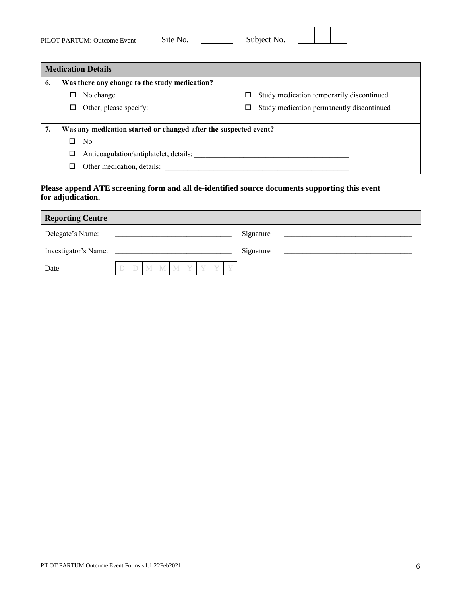| PILOT PARTUM: Outcome Event | Site No. | Subject No. |  |  |
|-----------------------------|----------|-------------|--|--|

|    |   | <b>Medication Details</b>                                        |        |                                           |
|----|---|------------------------------------------------------------------|--------|-------------------------------------------|
| 6. |   | Was there any change to the study medication?                    |        |                                           |
|    | □ | No change                                                        | $\Box$ | Study medication temporarily discontinued |
|    | □ | Other, please specify:                                           | $\Box$ | Study medication permanently discontinued |
|    |   |                                                                  |        |                                           |
| 7. |   | Was any medication started or changed after the suspected event? |        |                                           |
|    | □ | No                                                               |        |                                           |
|    | □ | Anticoagulation/antiplatelet, details:                           |        |                                           |
|    | □ | Other medication, details:                                       |        |                                           |

#### **Please append ATE screening form and all de-identified source documents supporting this event for adjudication.**

| <b>Reporting Centre</b> |  |  |  |               |  |  |  |  |  |           |  |
|-------------------------|--|--|--|---------------|--|--|--|--|--|-----------|--|
| Delegate's Name:        |  |  |  |               |  |  |  |  |  | Signature |  |
| Investigator's Name:    |  |  |  |               |  |  |  |  |  | Signature |  |
| Date                    |  |  |  | M M M Y Y Y Y |  |  |  |  |  |           |  |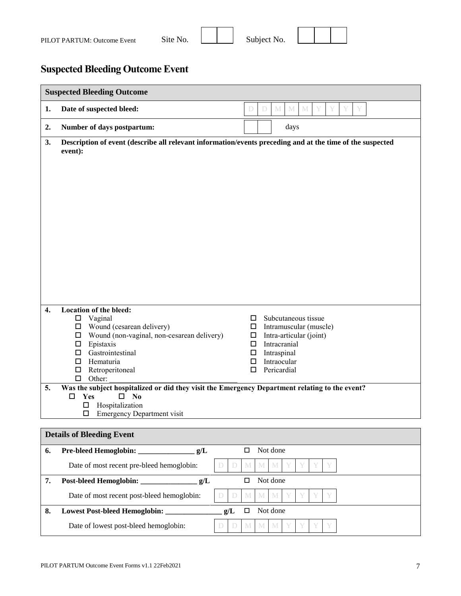

## <span id="page-6-0"></span>**Suspected Bleeding Outcome Event**

|    | <b>Suspected Bleeding Outcome</b>                                                                                     |  |  |  |  |  |  |  |  |  |  |  |
|----|-----------------------------------------------------------------------------------------------------------------------|--|--|--|--|--|--|--|--|--|--|--|
| 1. | $\mathbb M$<br>M<br>$\mathbb M$<br>Y<br>Date of suspected bleed:<br>D<br>D                                            |  |  |  |  |  |  |  |  |  |  |  |
| 2. | Number of days postpartum:<br>days                                                                                    |  |  |  |  |  |  |  |  |  |  |  |
| 3. | Description of event (describe all relevant information/events preceding and at the time of the suspected<br>event):  |  |  |  |  |  |  |  |  |  |  |  |
|    |                                                                                                                       |  |  |  |  |  |  |  |  |  |  |  |
|    |                                                                                                                       |  |  |  |  |  |  |  |  |  |  |  |
|    |                                                                                                                       |  |  |  |  |  |  |  |  |  |  |  |
|    |                                                                                                                       |  |  |  |  |  |  |  |  |  |  |  |
|    |                                                                                                                       |  |  |  |  |  |  |  |  |  |  |  |
|    |                                                                                                                       |  |  |  |  |  |  |  |  |  |  |  |
|    |                                                                                                                       |  |  |  |  |  |  |  |  |  |  |  |
|    |                                                                                                                       |  |  |  |  |  |  |  |  |  |  |  |
|    |                                                                                                                       |  |  |  |  |  |  |  |  |  |  |  |
| 4. | Location of the bleed:                                                                                                |  |  |  |  |  |  |  |  |  |  |  |
|    | $\Box$ Vaginal<br>Subcutaneous tissue<br>□<br>$\Box$ Wound (cesarean delivery)<br>Intramuscular (muscle)<br>$\Box$    |  |  |  |  |  |  |  |  |  |  |  |
|    | Wound (non-vaginal, non-cesarean delivery)<br>Intra-articular (joint)<br>Π.<br>$\Box$                                 |  |  |  |  |  |  |  |  |  |  |  |
|    | $\Box$ Epistaxis<br>□<br>Intracranial<br>$\Box$ Gastrointestinal<br>Intraspinal<br>□                                  |  |  |  |  |  |  |  |  |  |  |  |
|    | $\Box$<br>Hematuria<br>Intraocular<br>□<br>Retroperitoneal<br>Pericardial<br>$\Box$<br>□                              |  |  |  |  |  |  |  |  |  |  |  |
| 5. | $\Box$ Other:<br>Was the subject hospitalized or did they visit the Emergency Department relating to the event?       |  |  |  |  |  |  |  |  |  |  |  |
|    | Yes<br>$\square$ No                                                                                                   |  |  |  |  |  |  |  |  |  |  |  |
|    | Hospitalization<br>□<br><b>Emergency Department visit</b><br>□                                                        |  |  |  |  |  |  |  |  |  |  |  |
|    | <b>Details of Bleeding Event</b>                                                                                      |  |  |  |  |  |  |  |  |  |  |  |
| 6. | Not done<br>g/L<br>$\Box$                                                                                             |  |  |  |  |  |  |  |  |  |  |  |
|    | Date of most recent pre-bleed hemoglobin:<br>$\mathbb M$<br>$\mathbf{M}$<br>$M_{\odot}$<br>D<br>$\mathbb D$<br>Y      |  |  |  |  |  |  |  |  |  |  |  |
| 7. | Not done<br>g/L<br>$\Box$                                                                                             |  |  |  |  |  |  |  |  |  |  |  |
|    | Date of most recent post-bleed hemoglobin:<br>$\mathbb M$<br>$\mathbb M$<br>$\mathbb D$<br>M<br>$\mathbb D$<br>Y<br>Y |  |  |  |  |  |  |  |  |  |  |  |
| 8. | g/L<br>Lowest Post-bleed Hemoglobin:<br>Not done<br>$\Box$                                                            |  |  |  |  |  |  |  |  |  |  |  |
|    | Date of lowest post-bleed hemoglobin:<br>$\mathbb M$<br>M<br>M<br>D<br>D                                              |  |  |  |  |  |  |  |  |  |  |  |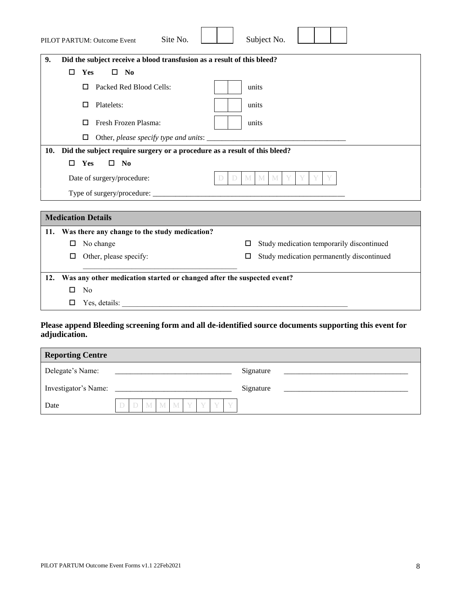| PILOT PARTUM: Outcome Event | Site No. | Subject No. |  |
|-----------------------------|----------|-------------|--|
|                             |          |             |  |

 $\overline{\phantom{a}}$ 

| Did the subject receive a blood transfusion as a result of this bleed?<br>9.  |  |  |  |  |  |  |  |  |  |  |
|-------------------------------------------------------------------------------|--|--|--|--|--|--|--|--|--|--|
| <b>Yes</b><br>$\square$ No<br>п                                               |  |  |  |  |  |  |  |  |  |  |
| Packed Red Blood Cells:<br>units<br>п                                         |  |  |  |  |  |  |  |  |  |  |
| Platelets:<br>units<br>□                                                      |  |  |  |  |  |  |  |  |  |  |
| Fresh Frozen Plasma:<br>units<br>□                                            |  |  |  |  |  |  |  |  |  |  |
| □                                                                             |  |  |  |  |  |  |  |  |  |  |
| 10. Did the subject require surgery or a procedure as a result of this bleed? |  |  |  |  |  |  |  |  |  |  |
| <b>Yes</b><br>$\square$ No<br>п                                               |  |  |  |  |  |  |  |  |  |  |
| Date of surgery/procedure:<br>M                                               |  |  |  |  |  |  |  |  |  |  |
|                                                                               |  |  |  |  |  |  |  |  |  |  |
|                                                                               |  |  |  |  |  |  |  |  |  |  |
| <b>Medication Details</b>                                                     |  |  |  |  |  |  |  |  |  |  |

| 11. |   | Was there any change to the study medication?                          |   |                                           |
|-----|---|------------------------------------------------------------------------|---|-------------------------------------------|
|     | □ | No change                                                              | □ | Study medication temporarily discontinued |
|     | □ | Other, please specify:                                                 |   | Study medication permanently discontinued |
|     |   |                                                                        |   |                                           |
| 12. |   | Was any other medication started or changed after the suspected event? |   |                                           |
|     | □ | No                                                                     |   |                                           |
|     | □ | Yes. details:                                                          |   |                                           |
|     |   |                                                                        |   |                                           |

#### **Please append Bleeding screening form and all de-identified source documents supporting this event for adjudication.**

| <b>Reporting Centre</b> |  |  |  |  |  |  |  |  |  |           |  |
|-------------------------|--|--|--|--|--|--|--|--|--|-----------|--|
| Delegate's Name:        |  |  |  |  |  |  |  |  |  | Signature |  |
| Investigator's Name:    |  |  |  |  |  |  |  |  |  | Signature |  |
| Date                    |  |  |  |  |  |  |  |  |  |           |  |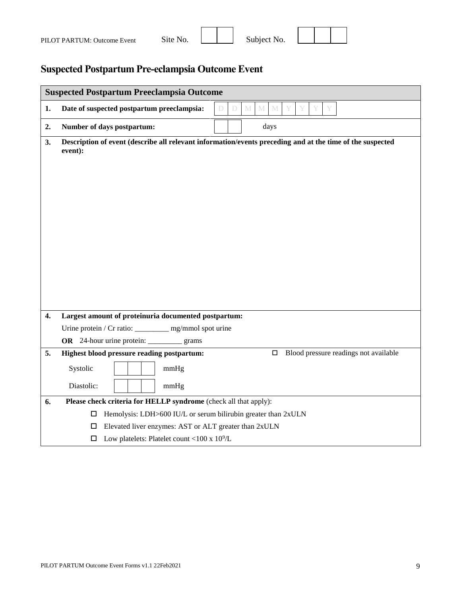| PILOT PARTUM: Outcome Event | Site No. | Subject No. |  |  |
|-----------------------------|----------|-------------|--|--|
|                             |          |             |  |  |

## <span id="page-8-0"></span>**Suspected Postpartum Pre-eclampsia Outcome Event**

|    | <b>Suspected Postpartum Preeclampsia Outcome</b>                                                                     |  |  |  |  |  |  |  |  |  |  |  |
|----|----------------------------------------------------------------------------------------------------------------------|--|--|--|--|--|--|--|--|--|--|--|
| 1. | $\mathbf M$<br>Date of suspected postpartum preeclampsia:<br>$\mathbb M$<br>M<br>D.<br>D                             |  |  |  |  |  |  |  |  |  |  |  |
| 2. | Number of days postpartum:<br>days                                                                                   |  |  |  |  |  |  |  |  |  |  |  |
| 3. | Description of event (describe all relevant information/events preceding and at the time of the suspected<br>event): |  |  |  |  |  |  |  |  |  |  |  |
| 4. | Largest amount of proteinuria documented postpartum:                                                                 |  |  |  |  |  |  |  |  |  |  |  |
|    | Urine protein / Cr ratio: _________ mg/mmol spot urine                                                               |  |  |  |  |  |  |  |  |  |  |  |
|    | OR 24-hour urine protein: _________<br>grams                                                                         |  |  |  |  |  |  |  |  |  |  |  |
| 5. | Blood pressure readings not available<br>Highest blood pressure reading postpartum:<br>□                             |  |  |  |  |  |  |  |  |  |  |  |
|    | Systolic<br>mmHg                                                                                                     |  |  |  |  |  |  |  |  |  |  |  |
|    | Diastolic:<br>mmHg                                                                                                   |  |  |  |  |  |  |  |  |  |  |  |
| 6. | Please check criteria for HELLP syndrome (check all that apply):                                                     |  |  |  |  |  |  |  |  |  |  |  |
|    | Hemolysis: LDH>600 IU/L or serum bilirubin greater than 2xULN<br>□                                                   |  |  |  |  |  |  |  |  |  |  |  |
|    | Elevated liver enzymes: AST or ALT greater than 2xULN<br>□                                                           |  |  |  |  |  |  |  |  |  |  |  |
|    | Low platelets: Platelet count <100 x $10^9$ /L<br>□                                                                  |  |  |  |  |  |  |  |  |  |  |  |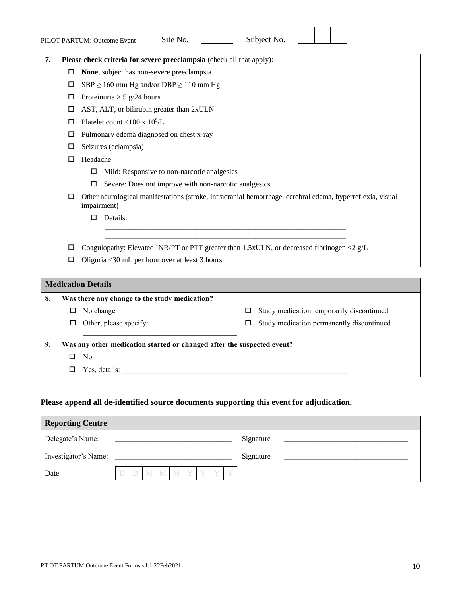|    |                                                            | Site No.<br>PILOT PARTUM: Outcome Event                                                                                  |  |        | Subject No. |                                           |  |  |  |  |  |  |
|----|------------------------------------------------------------|--------------------------------------------------------------------------------------------------------------------------|--|--------|-------------|-------------------------------------------|--|--|--|--|--|--|
| 7. |                                                            | Please check criteria for severe preeclampsia (check all that apply):                                                    |  |        |             |                                           |  |  |  |  |  |  |
|    | □                                                          | None, subject has non-severe preeclampsia                                                                                |  |        |             |                                           |  |  |  |  |  |  |
|    | □                                                          | SBP $\geq$ 160 mm Hg and/or DBP $\geq$ 110 mm Hg                                                                         |  |        |             |                                           |  |  |  |  |  |  |
|    | □                                                          | Proteinuria > 5 g/24 hours                                                                                               |  |        |             |                                           |  |  |  |  |  |  |
|    | □                                                          | AST, ALT, or bilirubin greater than 2xULN                                                                                |  |        |             |                                           |  |  |  |  |  |  |
|    | □                                                          | Platelet count <100 x $10^9$ /L                                                                                          |  |        |             |                                           |  |  |  |  |  |  |
|    | □                                                          | Pulmonary edema diagnosed on chest x-ray                                                                                 |  |        |             |                                           |  |  |  |  |  |  |
|    | □                                                          | Seizures (eclampsia)                                                                                                     |  |        |             |                                           |  |  |  |  |  |  |
|    | □                                                          | Headache                                                                                                                 |  |        |             |                                           |  |  |  |  |  |  |
|    |                                                            | Mild: Responsive to non-narcotic analgesics<br>$\Box$                                                                    |  |        |             |                                           |  |  |  |  |  |  |
|    | Severe: Does not improve with non-narcotic analgesics<br>□ |                                                                                                                          |  |        |             |                                           |  |  |  |  |  |  |
|    | ◻                                                          | Other neurological manifestations (stroke, intracranial hemorrhage, cerebral edema, hyperreflexia, visual<br>impairment) |  |        |             |                                           |  |  |  |  |  |  |
|    |                                                            | Details:<br>□                                                                                                            |  |        |             |                                           |  |  |  |  |  |  |
|    |                                                            |                                                                                                                          |  |        |             |                                           |  |  |  |  |  |  |
|    | □                                                          | Coagulopathy: Elevated INR/PT or PTT greater than 1.5xULN, or decreased fibrinogen <2 g/L                                |  |        |             |                                           |  |  |  |  |  |  |
|    | □                                                          | Oliguria <30 mL per hour over at least 3 hours                                                                           |  |        |             |                                           |  |  |  |  |  |  |
|    |                                                            |                                                                                                                          |  |        |             |                                           |  |  |  |  |  |  |
|    |                                                            | <b>Medication Details</b>                                                                                                |  |        |             |                                           |  |  |  |  |  |  |
| 8. |                                                            | Was there any change to the study medication?                                                                            |  |        |             |                                           |  |  |  |  |  |  |
|    | □                                                          | No change                                                                                                                |  | □      |             | Study medication temporarily discontinued |  |  |  |  |  |  |
|    | $\Box$                                                     | Other, please specify:                                                                                                   |  | $\Box$ |             | Study medication permanently discontinued |  |  |  |  |  |  |
| 9. |                                                            | Was any other medication started or changed after the suspected event?                                                   |  |        |             |                                           |  |  |  |  |  |  |

- $\square$  No
- $\Box$  Yes, details:

#### **Please append all de-identified source documents supporting this event for adjudication.**

| <b>Reporting Centre</b> |  |  |  |           |  |  |  |  |  |           |  |
|-------------------------|--|--|--|-----------|--|--|--|--|--|-----------|--|
| Delegate's Name:        |  |  |  |           |  |  |  |  |  | Signature |  |
| Investigator's Name:    |  |  |  |           |  |  |  |  |  | Signature |  |
| Date                    |  |  |  | M M Y Y Y |  |  |  |  |  |           |  |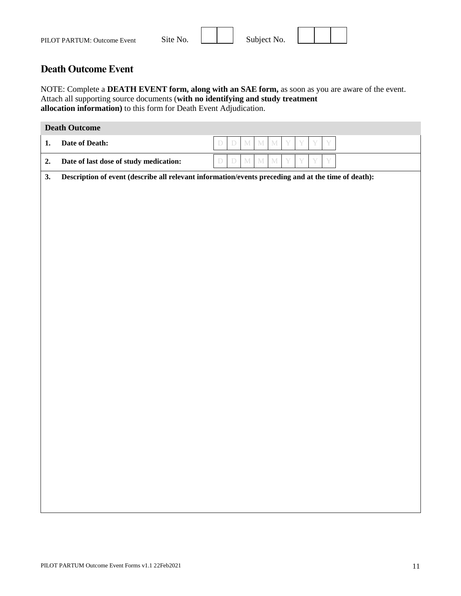| PILOT PARTUM: Outcome Event | Site No. | Subject No. |  |  |
|-----------------------------|----------|-------------|--|--|
|                             |          |             |  |  |

 $\mathbf{\tau}$ 

 $\overline{\phantom{a}}$ 

 $\top$ 

 $\top$ 

 $\overline{\mathbf{u}}$ 

### <span id="page-10-0"></span>**Death Outcome Event**

NOTE: Complete a **DEATH EVENT form, along with an SAE form,** as soon as you are aware of the event. Attach all supporting source documents (**with no identifying and study treatment allocation information)** to this form for Death Event Adjudication.

|    | <b>Death Outcome</b>                   |                                                                                                     |
|----|----------------------------------------|-----------------------------------------------------------------------------------------------------|
| 1. | Date of Death:                         | $\mathbf M$<br>$\mathbb M$<br>$\mathbf M$<br>Y<br>Y<br>$\mathbf Y$<br>$\bar{D}$<br>$\mathbb D$<br>Y |
| 2. | Date of last dose of study medication: | $\mathbb M$<br>$\mathbb M$<br>$\bar{D}$<br>$\mathbb D$<br>$\mathbf M$<br>Y<br>Y<br>Ý<br>Y           |
| 3. |                                        | Description of event (describe all relevant information/events preceding and at the time of death): |
|    |                                        |                                                                                                     |
|    |                                        |                                                                                                     |
|    |                                        |                                                                                                     |
|    |                                        |                                                                                                     |
|    |                                        |                                                                                                     |
|    |                                        |                                                                                                     |
|    |                                        |                                                                                                     |
|    |                                        |                                                                                                     |
|    |                                        |                                                                                                     |
|    |                                        |                                                                                                     |
|    |                                        |                                                                                                     |
|    |                                        |                                                                                                     |
|    |                                        |                                                                                                     |
|    |                                        |                                                                                                     |
|    |                                        |                                                                                                     |
|    |                                        |                                                                                                     |
|    |                                        |                                                                                                     |
|    |                                        |                                                                                                     |
|    |                                        |                                                                                                     |
|    |                                        |                                                                                                     |
|    |                                        |                                                                                                     |